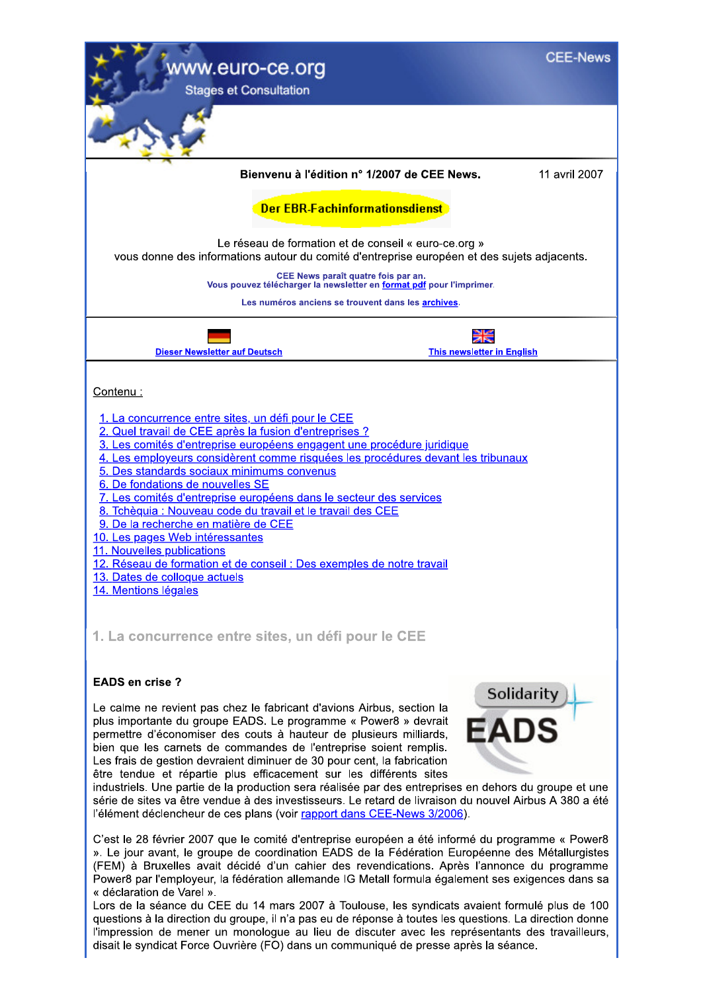

». Le jour avant, le groupe de coordination EADS de la Fédération Européenne des Métallurgistes (FEM) à Bruxelles avait décidé d'un cahier des revendications. Après l'annonce du programme Power8 par l'employeur, la fédération allemande IG Metall formula également ses exigences dans sa « déclaration de Varel ».

Lors de la séance du CEE du 14 mars 2007 à Toulouse, les syndicats avaient formulé plus de 100 questions à la direction du groupe, il n'a pas eu de réponse à toutes les questions. La direction donne l'impression de mener un monologue au lieu de discuter avec les représentants des travailleurs, disait le syndicat Force Ouvrière (FO) dans un communiqué de presse après la séance.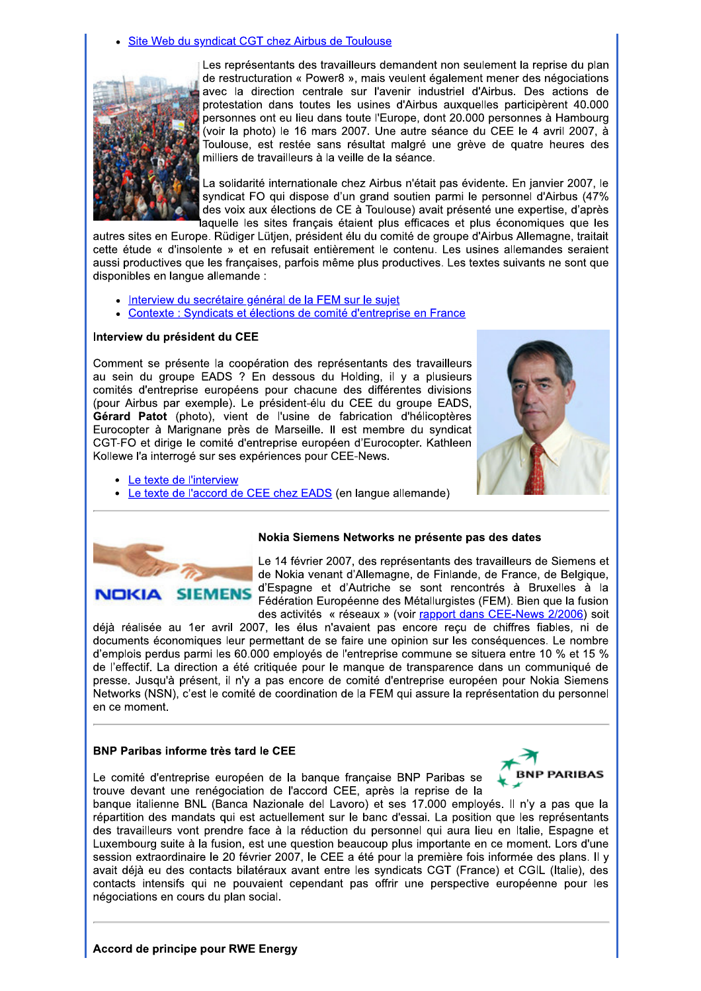Site Web du syndicat CGT chez Airbus de Toulouse



Les représentants des travailleurs demandent non seulement la reprise du plan de restructuration « Power8 », mais veulent également mener des négociations avec la direction centrale sur l'avenir industriel d'Airbus. Des actions de protestation dans toutes les usines d'Airbus auxquelles participèrent 40.000 personnes ont eu lieu dans toute l'Europe, dont 20.000 personnes à Hambourg (voir la photo) le 16 mars 2007. Une autre séance du CEE le 4 avril 2007, à Toulouse, est restée sans résultat malgré une grève de quatre heures des milliers de travailleurs à la veille de la séance.

La solidarité internationale chez Airbus n'était pas évidente. En janvier 2007, le syndicat FO qui dispose d'un grand soutien parmi le personnel d'Airbus (47% des voix aux élections de CE à Toulouse) avait présenté une expertise, d'après aquelle les sites français étaient plus efficaces et plus économiques que les

autres sites en Europe. Rüdiger Lütjen, président élu du comité de groupe d'Airbus Allemagne, traitait cette étude « d'insolente » et en refusait entièrement le contenu. Les usines allemandes seraient aussi productives que les françaises, parfois même plus productives. Les textes suivants ne sont que disponibles en langue allemande :

- Interview du secrétaire général de la FEM sur le sujet
- Contexte : Syndicats et élections de comité d'entreprise en France

#### Interview du président du CEE

Comment se présente la coopération des représentants des travailleurs au sein du groupe EADS ? En dessous du Holding, il y a plusieurs comités d'entreprise européens pour chacune des différentes divisions (pour Airbus par exemple). Le président-élu du CEE du groupe EADS, Gérard Patot (photo), vient de l'usine de fabrication d'hélicoptères Eurocopter à Marignane près de Marseille. Il est membre du syndicat CGT-FO et dirige le comité d'entreprise européen d'Eurocopter. Kathleen Kollewe l'a interrogé sur ses expériences pour CEE-News.



- Le texte de l'interview
- Le texte de l'accord de CEE chez EADS (en langue allemande)



#### Nokia Siemens Networks ne présente pas des dates

Le 14 février 2007, des représentants des travailleurs de Siemens et de Nokia venant d'Allemagne, de Finlande, de France, de Belgique, d'Espagne et d'Autriche se sont rencontrés à Bruxelles à la Fédération Européenne des Métallurgistes (FEM). Bien que la fusion des activités « réseaux » (voir rapport dans CEE-News 2/2006) soit

déià réalisée au 1er avril 2007, les élus n'avaient pas encore recu de chiffres fiables, ni de documents économiques leur permettant de se faire une opinion sur les conséquences. Le nombre d'emplois perdus parmi les 60.000 emplovés de l'entreprise commune se situera entre 10 % et 15 % de l'effectif. La direction a été critiquée pour le manque de transparence dans un communiqué de presse. Jusqu'à présent, il n'y a pas encore de comité d'entreprise européen pour Nokia Siemens Networks (NSN), c'est le comité de coordination de la FEM qui assure la représentation du personnel en ce moment.

## **BNP Paribas informe très tard le CEE**

Le comité d'entreprise européen de la banque française BNP Paribas se trouve devant une renégociation de l'accord CEE, après la reprise de la



banque italienne BNL (Banca Nazionale del Lavoro) et ses 17.000 employés. Il n'y a pas que la répartition des mandats qui est actuellement sur le banc d'essai. La position que les représentants des travailleurs vont prendre face à la réduction du personnel qui aura lieu en Italie, Espagne et Luxembourg suite à la fusion, est une question beaucoup plus importante en ce moment. Lors d'une session extraordinaire le 20 février 2007, le CEE a été pour la première fois informée des plans. Il y avait déjà eu des contacts bilatéraux avant entre les syndicats CGT (France) et CGIL (Italie), des contacts intensifs qui ne pouvaient cependant pas offrir une perspective européenne pour les négociations en cours du plan social.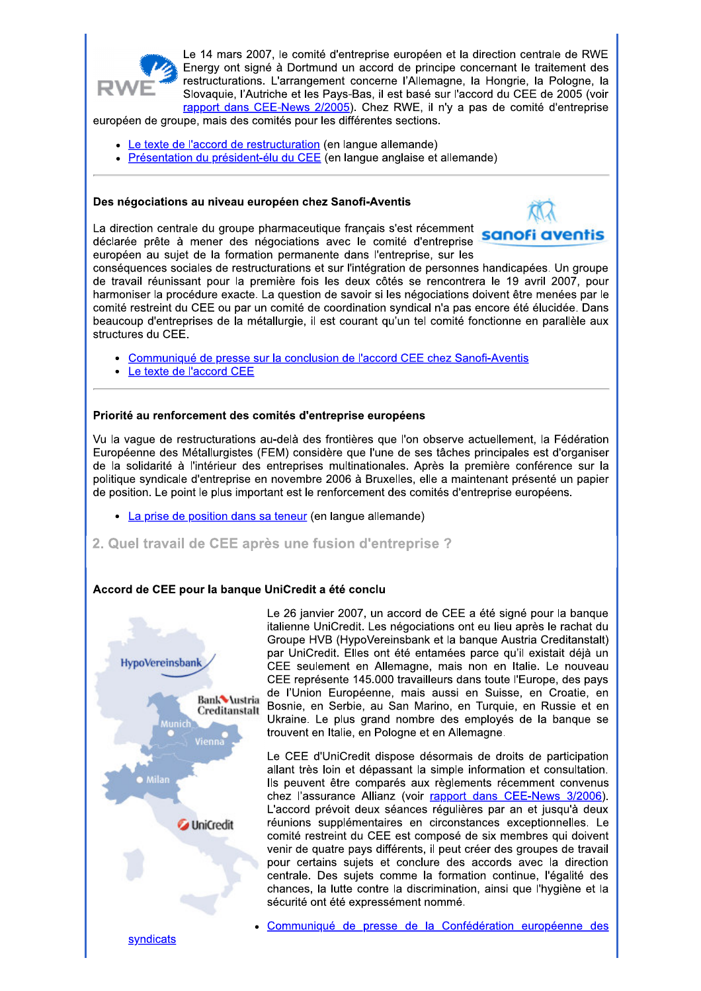

Le 14 mars 2007, le comité d'entreprise européen et la direction centrale de RWE Energy ont signé à Dortmund un accord de principe concernant le traitement des restructurations. L'arrangement concerne l'Allemagne, la Hongrie, la Pologne, la Slovaquie, l'Autriche et les Pays-Bas, il est basé sur l'accord du CEE de 2005 (voir rapport dans CEE-News 2/2005). Chez RWE, il n'y a pas de comité d'entreprise

européen de groupe, mais des comités pour les différentes sections.

- Le texte de l'accord de restructuration (en langue allemande)
- Présentation du président-élu du CEE (en langue anglaise et allemande)

#### Des négociations au niveau européen chez Sanofi-Aventis

La direction centrale du groupe pharmaceutique français s'est récemment déclarée prête à mener des négociations avec le comité d'entreprise européen au sujet de la formation permanente dans l'entreprise, sur les



conséquences sociales de restructurations et sur l'intégration de personnes handicapées. Un groupe de travail réunissant pour la première fois les deux côtés se rencontrera le 19 avril 2007, pour harmoniser la procédure exacte. La question de savoir si les négociations doivent être menées par le comité restreint du CEE ou par un comité de coordination syndical n'a pas encore été élucidée. Dans beaucoup d'entreprises de la métallurgie, il est courant qu'un tel comité fonctionne en parallèle aux structures du CEE.

- · Communiqué de presse sur la conclusion de l'accord CEE chez Sanofi-Aventis
- Le texte de l'accord CEE

#### Priorité au renforcement des comités d'entreprise européens

Vu la vaque de restructurations au-delà des frontières que l'on observe actuellement, la Fédération Européenne des Métallurgistes (FEM) considère que l'une de ses tâches principales est d'organiser de la solidarité à l'intérieur des entreprises multinationales. Après la première conférence sur la politique syndicale d'entreprise en novembre 2006 à Bruxelles, elle a maintenant présenté un papier de position. Le point le plus important est le renforcement des comités d'entreprise européens.

- La prise de position dans sa teneur (en langue allemande)
- 2. Quel travail de CEE après une fusion d'entreprise ?

## Accord de CEE pour la banque UniCredit a été conclu



Le 26 janvier 2007, un accord de CEE a été signé pour la banque italienne UniCredit. Les négociations ont eu lieu après le rachat du Groupe HVB (HypoVereinsbank et la banque Austria Creditanstalt) par UniCredit. Elles ont été entamées parce qu'il existait déjà un CEE seulement en Allemagne, mais non en Italie. Le nouveau CEE représente 145.000 travailleurs dans toute l'Europe, des pays de l'Union Européenne, mais aussi en Suisse, en Croatie, en Bosnie, en Serbie, au San Marino, en Turquie, en Russie et en Ukraine. Le plus grand nombre des employés de la banque se trouvent en Italie, en Pologne et en Allemagne.

Le CEE d'UniCredit dispose désormais de droits de participation allant très loin et dépassant la simple information et consultation. Ils peuvent être comparés aux règlements récemment convenus chez l'assurance Allianz (voir rapport dans CEE-News 3/2006). L'accord prévoit deux séances régulières par an et jusqu'à deux réunions supplémentaires en circonstances exceptionnelles. Le comité restreint du CEE est composé de six membres qui doivent venir de quatre pays différents, il peut créer des groupes de travail pour certains suiets et conclure des accords avec la direction centrale. Des sujets comme la formation continue, l'égalité des chances, la lutte contre la discrimination, ainsi que l'hygiène et la sécurité ont été expressément nommé.

Communiqué de presse de la Confédération européenne des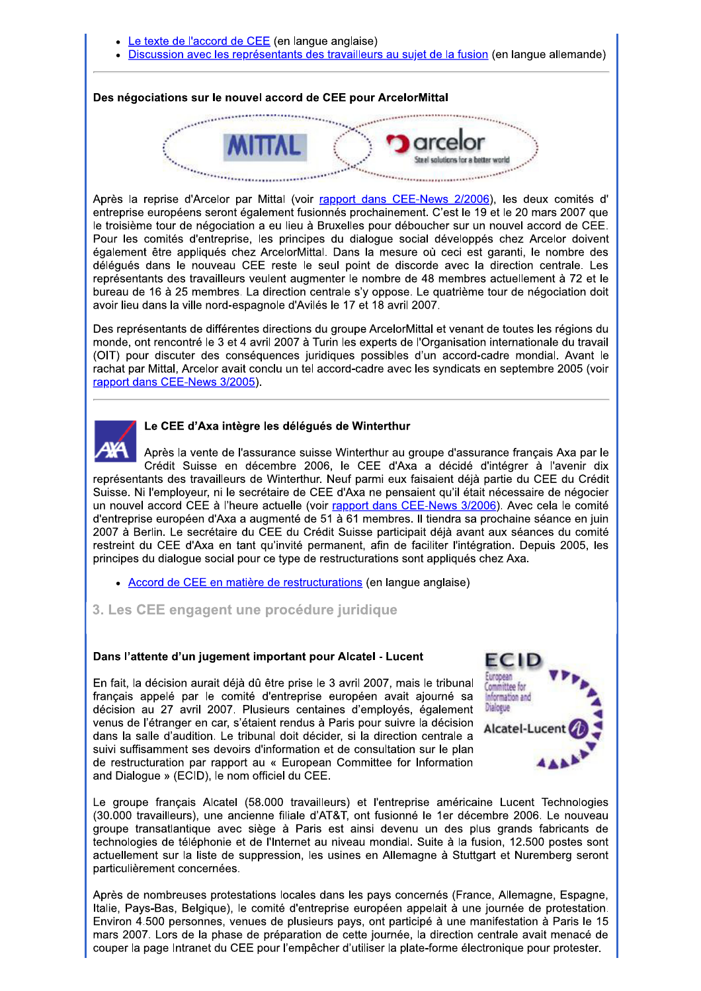- Le texte de l'accord de CEE (en langue anglaise)
- Discussion avec les représentants des travailleurs au sujet de la fusion (en langue allemande)

#### Des négociations sur le nouvel accord de CEE pour ArcelorMittal



Après la reprise d'Arcelor par Mittal (voir rapport dans CEE-News 2/2006), les deux comités d' entreprise européens seront également fusionnés prochainement. C'est le 19 et le 20 mars 2007 que le troisième tour de négociation a eu lieu à Bruxelles pour déboucher sur un nouvel accord de CEE. Pour les comités d'entreprise, les principes du dialogue social développés chez Arcelor doivent également être appliqués chez ArcelorMittal. Dans la mesure où ceci est garanti, le nombre des délégués dans le nouveau CEE reste le seul point de discorde avec la direction centrale. Les représentants des travailleurs veulent augmenter le nombre de 48 membres actuellement à 72 et le bureau de 16 à 25 membres. La direction centrale s'y oppose. Le quatrième tour de négociation doit avoir lieu dans la ville nord-espagnole d'Avilés le 17 et 18 avril 2007.

Des représentants de différentes directions du groupe ArcelorMittal et venant de toutes les régions du monde, ont rencontré le 3 et 4 avril 2007 à Turin les experts de l'Organisation internationale du travail (OIT) pour discuter des conséquences juridiques possibles d'un accord-cadre mondial. Avant le rachat par Mittal, Arcelor avait conclu un tel accord-cadre avec les syndicats en septembre 2005 (voir rapport dans CEE-News 3/2005).



#### Le CEE d'Axa intègre les délégués de Winterthur

Après la vente de l'assurance suisse Winterthur au groupe d'assurance français Axa par le Crédit Suisse en décembre 2006, le CEE d'Axa a décidé d'intégrer à l'avenir dix représentants des travailleurs de Winterthur. Neuf parmi eux faisaient déjà partie du CEE du Crédit Suisse. Ni l'employeur, ni le secrétaire de CEE d'Axa ne pensaient qu'il était nécessaire de négocier un nouvel accord CEE à l'heure actuelle (voir rapport dans CEE-News 3/2006). Avec cela le comité d'entreprise européen d'Axa a augmenté de 51 à 61 membres. Il tiendra sa prochaine séance en juin 2007 à Berlin. Le secrétaire du CEE du Crédit Suisse participait déjà avant aux séances du comité restreint du CEE d'Axa en tant qu'invité permanent, afin de faciliter l'intégration. Depuis 2005, les principes du dialogue social pour ce type de restructurations sont appliqués chez Axa.

• Accord de CEE en matière de restructurations (en langue anglaise)

## 3. Les CEE engagent une procédure juridique

#### Dans l'attente d'un jugement important pour Alcatel - Lucent

En fait, la décision aurait déjà dû être prise le 3 avril 2007, mais le tribunal français appelé par le comité d'entreprise européen avait ajourné sa décision au 27 avril 2007. Plusieurs centaines d'employés, également venus de l'étranger en car, s'étaient rendus à Paris pour suivre la décision dans la salle d'audition. Le tribunal doit décider, si la direction centrale a suivi suffisamment ses devoirs d'information et de consultation sur le plan de restructuration par rapport au « European Committee for Information and Dialogue » (ECID), le nom officiel du CEE.



Le groupe français Alcatel (58.000 travailleurs) et l'entreprise américaine Lucent Technologies (30.000 travailleurs), une ancienne filiale d'AT&T, ont fusionné le 1er décembre 2006. Le nouveau groupe transatlantique avec siège à Paris est ainsi devenu un des plus grands fabricants de technologies de téléphonie et de l'Internet au niveau mondial. Suite à la fusion, 12.500 postes sont actuellement sur la liste de suppression, les usines en Allemagne à Stuttgart et Nuremberg seront particulièrement concernées.

Après de nombreuses protestations locales dans les pays concernés (France, Allemagne, Espagne, Italie, Pays-Bas, Belgique), le comité d'entreprise européen appelait à une journée de protestation. Environ 4.500 personnes, venues de plusieurs pays, ont participé à une manifestation à Paris le 15 mars 2007. Lors de la phase de préparation de cette journée, la direction centrale avait menacé de couper la page Intranet du CEE pour l'empêcher d'utiliser la plate-forme électronique pour protester.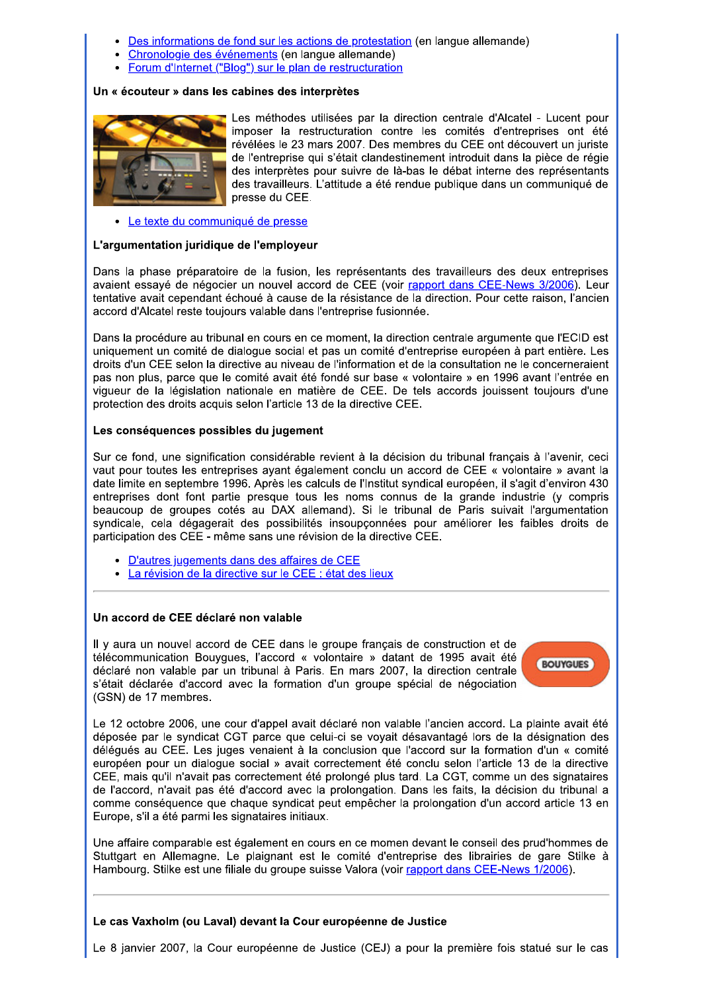- Des informations de fond sur les actions de protestation (en langue allemande)
- Chronologie des événements (en langue allemande)
- Forum d'Internet ("Blog") sur le plan de restructuration

#### Un « écouteur » dans les cabines des interprètes



Les méthodes utilisées par la direction centrale d'Alcatel - Lucent pour imposer la restructuration contre les comités d'entreprises ont été révélées le 23 mars 2007. Des membres du CEE ont découvert un juriste de l'entreprise qui s'était clandestinement introduit dans la pièce de régie des interprètes pour suivre de là-bas le débat interne des représentants des travailleurs. L'attitude a été rendue publique dans un communiqué de presse du CEE.

• Le texte du communiqué de presse

#### L'argumentation juridique de l'employeur

Dans la phase préparatoire de la fusion, les représentants des travailleurs des deux entreprises avaient essayé de négocier un nouvel accord de CEE (voir rapport dans CEE-News 3/2006). Leur tentative avait cependant échoué à cause de la résistance de la direction. Pour cette raison, l'ancien accord d'Alcatel reste toujours valable dans l'entreprise fusionnée.

Dans la procédure au tribunal en cours en ce moment, la direction centrale argumente que l'ECID est uniquement un comité de dialogue social et pas un comité d'entreprise européen à part entière. Les droits d'un CEE selon la directive au niveau de l'information et de la consultation ne le concerneraient pas non plus, parce que le comité avait été fondé sur base « volontaire » en 1996 avant l'entrée en vigueur de la législation nationale en matière de CEE. De tels accords jouissent toujours d'une protection des droits acquis selon l'article 13 de la directive CEE.

#### Les conséquences possibles du jugement

Sur ce fond, une signification considérable revient à la décision du tribunal français à l'avenir, ceci vaut pour toutes les entreprises ayant également conclu un accord de CEE « volontaire » avant la date limite en septembre 1996. Après les calculs de l'Institut syndical européen, il s'agit d'environ 430 entreprises dont font partie presque tous les noms connus de la grande industrie (y compris beaucoup de groupes cotés au DAX allemand). Si le tribunal de Paris suivait l'argumentation syndicale, cela dégagerait des possibilités insoupçonnées pour améliorer les faibles droits de participation des CEE - même sans une révision de la directive CEE.

- · D'autres jugements dans des affaires de CEE
- La révision de la directive sur le CEE : état des lieux

#### Un accord de CEE déclaré non valable

Il y aura un nouvel accord de CEE dans le groupe francais de construction et de télécommunication Bouvgues, l'accord « volontaire » datant de 1995 avait été déclaré non valable par un tribunal à Paris. En mars 2007, la direction centrale s'était déclarée d'accord avec la formation d'un groupe spécial de négociation (GSN) de 17 membres.



Le 12 octobre 2006, une cour d'appel avait déclaré non valable l'ancien accord. La plainte avait été déposée par le syndicat CGT parce que celui-ci se voyait désavantagé lors de la désignation des délégués au CEE. Les juges venaient à la conclusion que l'accord sur la formation d'un « comité européen pour un dialogue social » avait correctement été conclu selon l'article 13 de la directive CEE, mais qu'il n'avait pas correctement été prolongé plus tard. La CGT, comme un des signataires de l'accord, n'avait pas été d'accord avec la prolongation. Dans les faits, la décision du tribunal a comme conséquence que chaque syndicat peut empêcher la prolongation d'un accord article 13 en Europe, s'il a été parmi les signataires initiaux.

Une affaire comparable est également en cours en ce momen devant le conseil des prud'hommes de Stuttgart en Allemagne. Le plaignant est le comité d'entreprise des librairies de gare Stilke à Hambourg. Stilke est une filiale du groupe suisse Valora (voir rapport dans CEE-News 1/2006).

## Le cas Vaxholm (ou Laval) devant la Cour européenne de Justice

Le 8 janvier 2007, la Cour européenne de Justice (CEJ) a pour la première fois statué sur le cas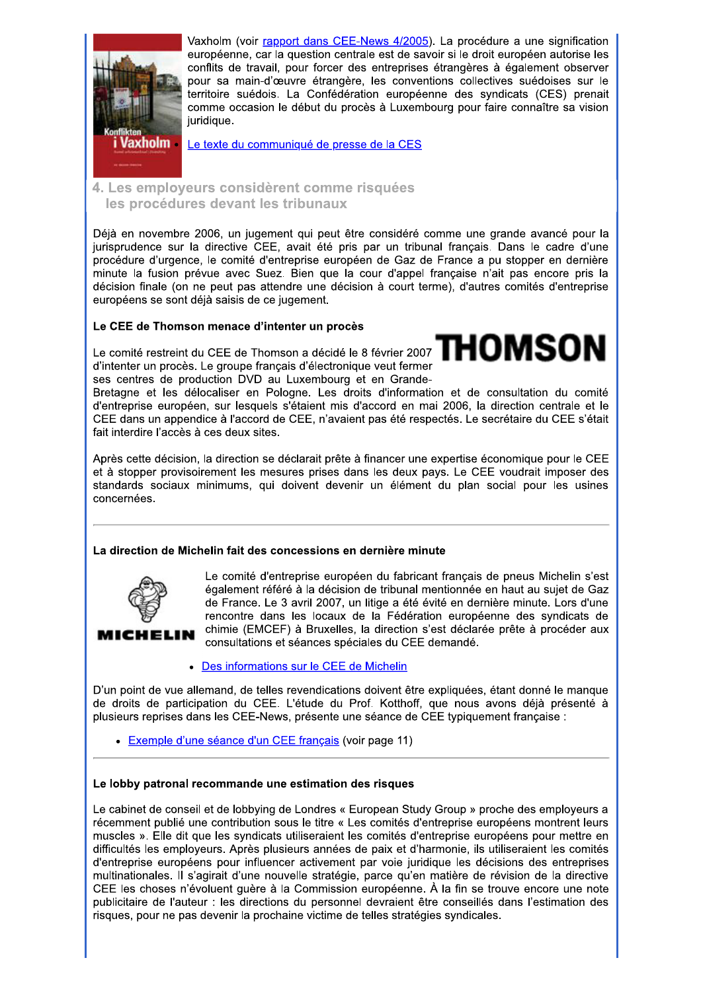

Vaxholm (voir rapport dans CEE-News 4/2005). La procédure a une signification européenne, car la question centrale est de savoir si le droit européen autorise les conflits de travail, pour forcer des entreprises étrangères à également observer pour sa main-d'œuvre étrangère, les conventions collectives suédoises sur le territoire suédois. La Confédération européenne des syndicats (CES) prenait comme occasion le début du procès à Luxembourg pour faire connaître sa vision juridique.

Le texte du communiqué de presse de la CES

4. Les employeurs considèrent comme risquées les procédures devant les tribunaux

Déjà en novembre 2006, un jugement qui peut être considéré comme une grande avancé pour la jurisprudence sur la directive CEE, avait été pris par un tribunal français. Dans le cadre d'une procédure d'urgence, le comité d'entreprise européen de Gaz de France a pu stopper en dernière minute la fusion prévue avec Suez. Bien que la cour d'appel française n'ait pas encore pris la décision finale (on ne peut pas attendre une décision à court terme), d'autres comités d'entreprise européens se sont déjà saisis de ce jugement.

# Le CEE de Thomson menace d'intenter un procès

Le comité restreint du CEE de Thomson a décidé le 8 février 2007  $\mathbf{TMSON}$ d'intenter un procès. Le groupe français d'électronique veut fermer ses centres de production DVD au Luxembourg et en Grande-

Bretagne et les délocaliser en Pologne. Les droits d'information et de consultation du comité d'entreprise européen, sur lesquels s'étaient mis d'accord en mai 2006, la direction centrale et le CEE dans un appendice à l'accord de CEE, n'avaient pas été respectés. Le secrétaire du CEE s'était fait interdire l'accès à ces deux sites.

Après cette décision, la direction se déclarait prête à financer une expertise économique pour le CEE et à stopper provisoirement les mesures prises dans les deux pays. Le CEE voudrait imposer des standards sociaux minimums, qui doivent devenir un élément du plan social pour les usines concernées.

## La direction de Michelin fait des concessions en dernière minute



Le comité d'entreprise européen du fabricant français de pneus Michelin s'est également référé à la décision de tribunal mentionnée en haut au sujet de Gaz de France. Le 3 avril 2007, un litige a été évité en dernière minute. Lors d'une rencontre dans les locaux de la Fédération européenne des syndicats de chimie (EMCEF) à Bruxelles, la direction s'est déclarée prête à procéder aux consultations et séances spéciales du CEE demandé.

• Des informations sur le CEE de Michelin

D'un point de vue allemand, de telles revendications doivent être expliquées, étant donné le manque de droits de participation du CEE. L'étude du Prof. Kotthoff, que nous avons déjà présenté à plusieurs reprises dans les CEE-News, présente une séance de CEE typiquement française :

· Exemple d'une séance d'un CEE français (voir page 11)

## Le lobby patronal recommande une estimation des risques

Le cabinet de conseil et de lobbying de Londres « European Study Group » proche des employeurs a récemment publié une contribution sous le titre « Les comités d'entreprise européens montrent leurs muscles ». Elle dit que les syndicats utiliseraient les comités d'entreprise européens pour mettre en difficultés les employeurs. Après plusieurs années de paix et d'harmonie, ils utiliseraient les comités d'entreprise européens pour influencer activement par voie juridique les décisions des entreprises multinationales. Il s'agirait d'une nouvelle stratégie, parce qu'en matière de révision de la directive CEE les choses n'évoluent quère à la Commission européenne. À la fin se trouve encore une note publicitaire de l'auteur : les directions du personnel devraient être conseillés dans l'estimation des risques, pour ne pas devenir la prochaine victime de telles stratégies syndicales.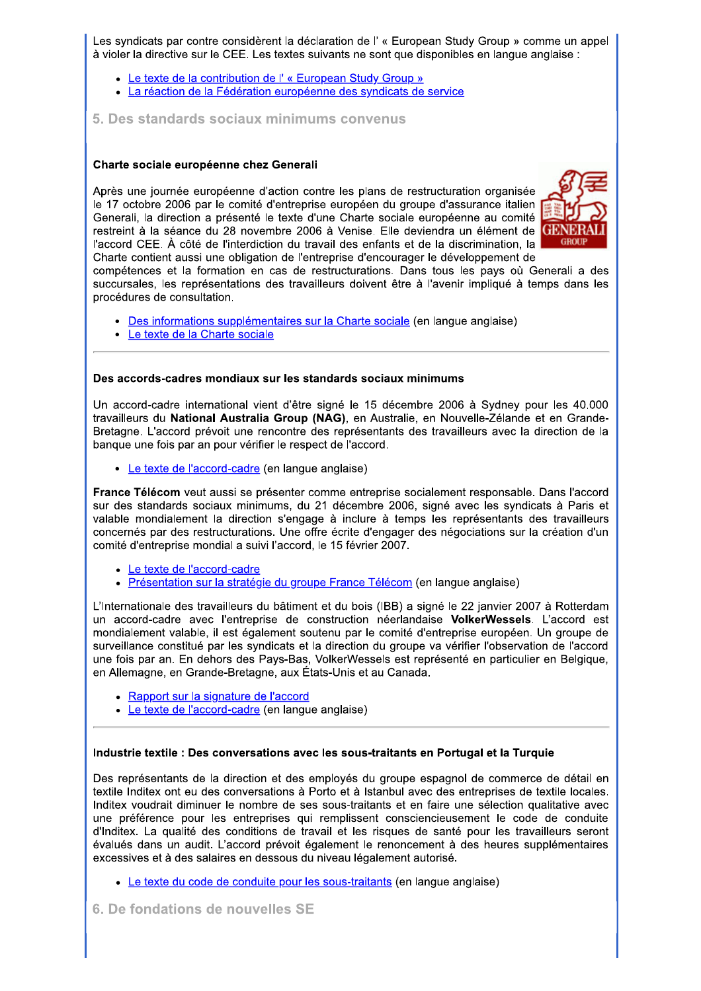Les syndicats par contre considèrent la déclaration de l'« European Study Group » comme un appel à violer la directive sur le CEE. Les textes suivants ne sont que disponibles en langue anglaise :

- Le texte de la contribution de l' « European Study Group »
- · La réaction de la Fédération européenne des syndicats de service
- 5. Des standards sociaux minimums convenus

#### Charte sociale européenne chez Generali

Après une journée européenne d'action contre les plans de restructuration organisée le 17 octobre 2006 par le comité d'entreprise européen du groupe d'assurance italien Generali, la direction a présenté le texte d'une Charte sociale européenne au comité restreint à la séance du 28 novembre 2006 à Venise. Elle deviendra un élément de l'accord CEE. À côté de l'interdiction du travail des enfants et de la discrimination, la Charte contient aussi une obligation de l'entreprise d'encourager le développement de



compétences et la formation en cas de restructurations. Dans tous les pays où Generali a des succursales, les représentations des travailleurs doivent être à l'avenir impliqué à temps dans les procédures de consultation.

- Des informations supplémentaires sur la Charte sociale (en langue anglaise)
- Le texte de la Charte sociale

#### Des accords-cadres mondiaux sur les standards sociaux minimums

Un accord-cadre international vient d'être signé le 15 décembre 2006 à Sydney pour les 40.000 travailleurs du National Australia Group (NAG), en Australie, en Nouvelle-Zélande et en Grande-Bretagne. L'accord prévoit une rencontre des représentants des travailleurs avec la direction de la banque une fois par an pour vérifier le respect de l'accord.

• Le texte de l'accord-cadre (en langue anglaise)

France Télécom veut aussi se présenter comme entreprise socialement responsable. Dans l'accord sur des standards sociaux minimums, du 21 décembre 2006, signé avec les syndicats à Paris et valable mondialement la direction s'engage à inclure à temps les représentants des travailleurs concernés par des restructurations. Une offre écrite d'engager des négociations sur la création d'un comité d'entreprise mondial a suivi l'accord, le 15 février 2007.

- Le texte de l'accord-cadre
- · Présentation sur la stratégie du groupe France Télécom (en langue anglaise)

L'Internationale des travailleurs du bâtiment et du bois (IBB) a signé le 22 janvier 2007 à Rotterdam un accord-cadre avec l'entreprise de construction néerlandaise VolkerWessels. L'accord est mondialement valable, il est également soutenu par le comité d'entreprise européen. Un groupe de surveillance constitué par les syndicats et la direction du groupe va vérifier l'observation de l'accord une fois par an. En dehors des Pays-Bas, VolkerWessels est représenté en particulier en Belgique, en Allemagne, en Grande-Bretagne, aux États-Unis et au Canada.

- Rapport sur la signature de l'accord
- Le texte de l'accord-cadre (en langue anglaise)

#### Industrie textile : Des conversations avec les sous-traitants en Portugal et la Turquie

Des représentants de la direction et des employés du groupe espagnol de commerce de détail en textile Inditex ont eu des conversations à Porto et à Istanbul avec des entreprises de textile locales. Inditex voudrait diminuer le nombre de ses sous-traitants et en faire une sélection qualitative avec une préférence pour les entreprises qui remplissent consciencieusement le code de conduite d'Inditex. La qualité des conditions de travail et les risques de santé pour les travailleurs seront évalués dans un audit. L'accord prévoit également le renoncement à des heures supplémentaires excessives et à des salaires en dessous du niveau légalement autorisé.

- Le texte du code de conduite pour les sous-traitants (en langue anglaise)
- 6. De fondations de nouvelles SE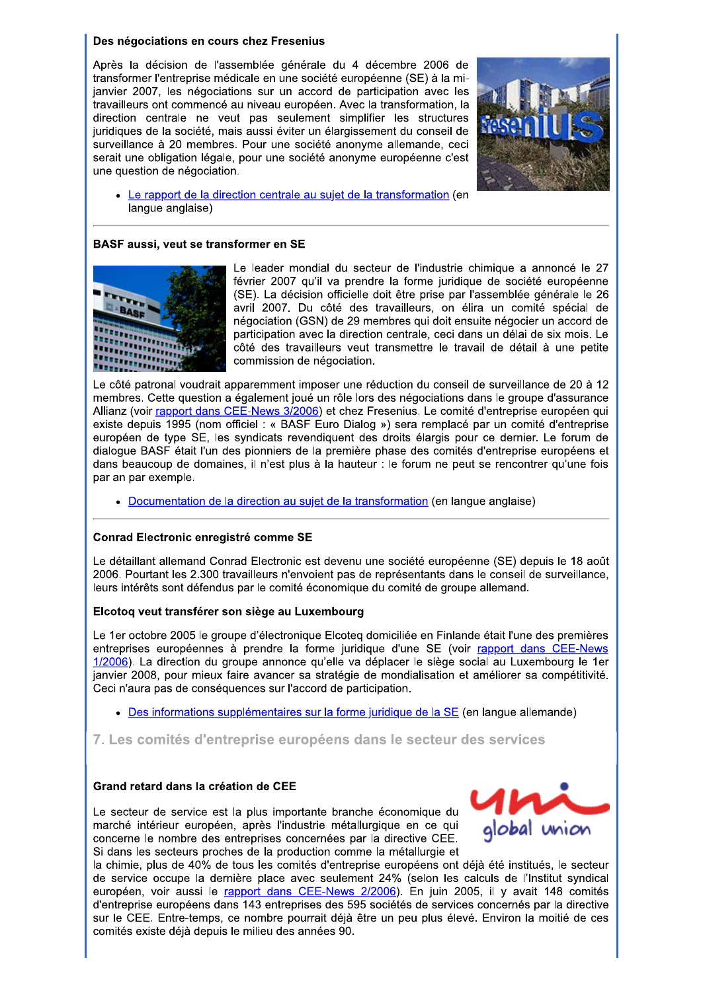## Des négociations en cours chez Fresenius

Après la décision de l'assemblée générale du 4 décembre 2006 de transformer l'entreprise médicale en une société européenne (SE) à la mijanvier 2007, les négociations sur un accord de participation avec les travailleurs ont commencé au niveau européen. Avec la transformation, la direction centrale ne veut pas seulement simplifier les structures juridiques de la société, mais aussi éviter un élargissement du conseil de surveillance à 20 membres. Pour une société anonyme allemande, ceci serait une obligation légale, pour une société anonyme européenne c'est une question de négociation.



Le rapport de la direction centrale au sujet de la transformation (en lanque anglaise)

## BASF aussi, veut se transformer en SE



Le leader mondial du secteur de l'industrie chimique a annoncé le 27 février 2007 qu'il va prendre la forme juridique de société européenne (SE). La décision officielle doit être prise par l'assemblée générale le 26 avril 2007. Du côté des travailleurs, on élira un comité spécial de négociation (GSN) de 29 membres qui doit ensuite négocier un accord de participation avec la direction centrale, ceci dans un délai de six mois. Le côté des travailleurs veut transmettre le travail de détail à une petite commission de négociation.

Le côté patronal voudrait apparemment imposer une réduction du conseil de surveillance de 20 à 12 membres. Cette question a également joué un rôle lors des négociations dans le groupe d'assurance Allianz (voir rapport dans CEE-News 3/2006) et chez Fresenius. Le comité d'entreprise européen qui existe depuis 1995 (nom officiel : « BASF Euro Dialog ») sera remplacé par un comité d'entreprise européen de type SE, les syndicats revendiquent des droits élargis pour ce dernier. Le forum de dialogue BASF était l'un des pionniers de la première phase des comités d'entreprise européens et dans beaucoup de domaines, il n'est plus à la hauteur : le forum ne peut se rencontrer qu'une fois par an par exemple.

• Documentation de la direction au sujet de la transformation (en langue anglaise)

## Conrad Electronic enregistré comme SE

Le détaillant allemand Conrad Electronic est devenu une société européenne (SE) depuis le 18 août 2006. Pourtant les 2.300 travailleurs n'envoient pas de représentants dans le conseil de surveillance. leurs intérêts sont défendus par le comité économique du comité de groupe allemand.

## Elcotog veut transférer son siège au Luxembourg

Le 1er octobre 2005 le groupe d'électronique Elcoteq domiciliée en Finlande était l'une des premières entreprises européennes à prendre la forme juridique d'une SE (voir rapport dans CEE-News 1/2006). La direction du groupe annonce qu'elle va déplacer le siège social au Luxembourg le 1er janvier 2008, pour mieux faire avancer sa stratégie de mondialisation et améliorer sa compétitivité. Ceci n'aura pas de conséquences sur l'accord de participation.

• Des informations supplémentaires sur la forme juridique de la SE (en langue allemande)

7. Les comités d'entreprise européens dans le secteur des services

## Grand retard dans la création de CEE

Le secteur de service est la plus importante branche économique du marché intérieur européen, après l'industrie métallurgique en ce qui concerne le nombre des entreprises concernées par la directive CEE. Si dans les secteurs proches de la production comme la métallurgie et



la chimie, plus de 40% de tous les comités d'entreprise européens ont déjà été institués, le secteur de service occupe la dernière place avec seulement 24% (selon les calculs de l'Institut syndical européen, voir aussi le rapport dans CEE-News 2/2006). En juin 2005, il y avait 148 comités d'entreprise européens dans 143 entreprises des 595 sociétés de services concernés par la directive sur le CEE. Entre-temps, ce nombre pourrait déjà être un peu plus élevé. Environ la moitié de ces comités existe déjà depuis le milieu des années 90.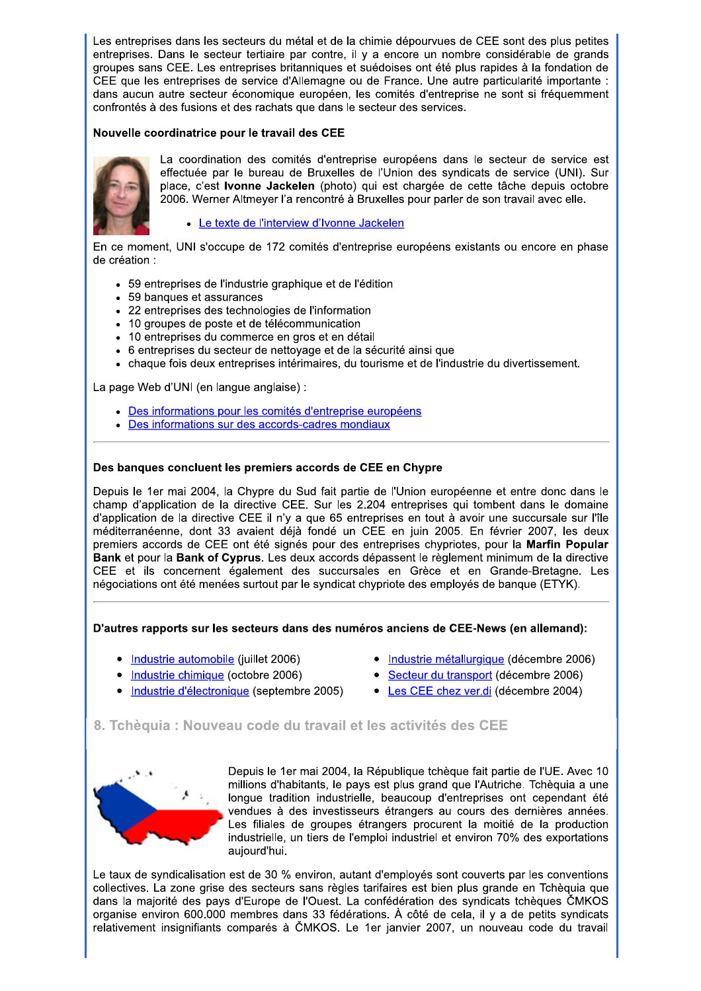Les entreprises dans les secteurs du métal et de la chimie dépourvues de CEE sont des plus petites entreprises. Dans le secteur tertiaire par contre, il y a encore un nombre considérable de grands groupes sans CEE. Les entreprises britanniques et suédoises ont été plus rapides à la fondation de CEE que les entreprises de service d'Allemagne ou de France. Une autre particularité importante : dans aucun autre secteur économique européen, les comités d'entreprise ne sont si fréquemment confrontés à des fusions et des rachats que dans le secteur des services.

## Nouvelle coordinatrice pour le travail des CEE



La coordination des comités d'entreprise européens dans le secteur de service est effectuée par le bureau de Bruxelles de l'Union des syndicats de service (UNI). Sur place, c'est lvonne Jackelen (photo) qui est chargée de cette tâche depuis octobre 2006. Werner Altmeyer l'a rencontré à Bruxelles pour parler de son travail avec elle.

## • Le texte de l'interview d'Ivonne Jackelen

En ce moment, UNI s'occupe de 172 comités d'entreprise européens existants ou encore en phase de création :

- 59 entreprises de l'industrie graphique et de l'édition
- 59 banques et assurances
- 22 entreprises des technologies de l'information
- 10 groupes de poste et de télécommunication
- 10 entreprises du commerce en gros et en détail
- 6 entreprises du secteur de nettoyage et de la sécurité ainsi que
- chaque fois deux entreprises intérimaires, du tourisme et de l'industrie du divertissement.

La page Web d'UNI (en langue anglaise) :

- Des informations pour les comités d'entreprise européens
- Des informations sur des accords-cadres mondiaux

## Des banques concluent les premiers accords de CEE en Chypre

Depuis le 1er mai 2004, la Chypre du Sud fait partie de l'Union européenne et entre donc dans le champ d'application de la directive CEE. Sur les 2.204 entreprises qui tombent dans le domaine d'application de la directive CEE il n'y a que 65 entreprises en tout à avoir une succursale sur l'île méditerranéenne, dont 33 avaient déjà fondé un CEE en juin 2005. En février 2007, les deux premiers accords de CEE ont été signés pour des entreprises chypriotes, pour la Marfin Popular Bank et pour la Bank of Cyprus. Les deux accords dépassent le règlement minimum de la directive CEE et ils concernent également des succursales en Grèce et en Grande-Bretagne. Les négociations ont été menées surtout par le syndicat chypriote des employés de banque (ETYK).

## D'autres rapports sur les secteurs dans des numéros anciens de CEE-News (en allemand):

- Industrie automobile (juillet 2006)
- Industrie chimique (octobre 2006)
- Industrie d'électronique (septembre 2005)
- Industrie métallurgique (décembre 2006)
- Secteur du transport (décembre 2006)
- Les CEE chez ver.di (décembre 2004)

# 8. Tchèquia : Nouveau code du travail et les activités des CEE



Depuis le 1er mai 2004, la République tchèque fait partie de l'UE. Avec 10 millions d'habitants, le pays est plus grand que l'Autriche. Tchèquia a une longue tradition industrielle, beaucoup d'entreprises ont cependant été vendues à des investisseurs étrangers au cours des dernières années. Les filiales de groupes étrangers procurent la moitié de la production industrielle, un tiers de l'emploi industriel et environ 70% des exportations aujourd'hui.

Le taux de syndicalisation est de 30 % environ, autant d'employés sont couverts par les conventions collectives. La zone grise des secteurs sans règles tarifaires est bien plus grande en Tchèquia que dans la majorité des pays d'Europe de l'Ouest. La confédération des syndicats tchèques ČMKOS organise environ 600.000 membres dans 33 fédérations. À côté de cela, il y a de petits syndicats relativement insignifiants comparés à ČMKOS. Le 1er janvier 2007, un nouveau code du travail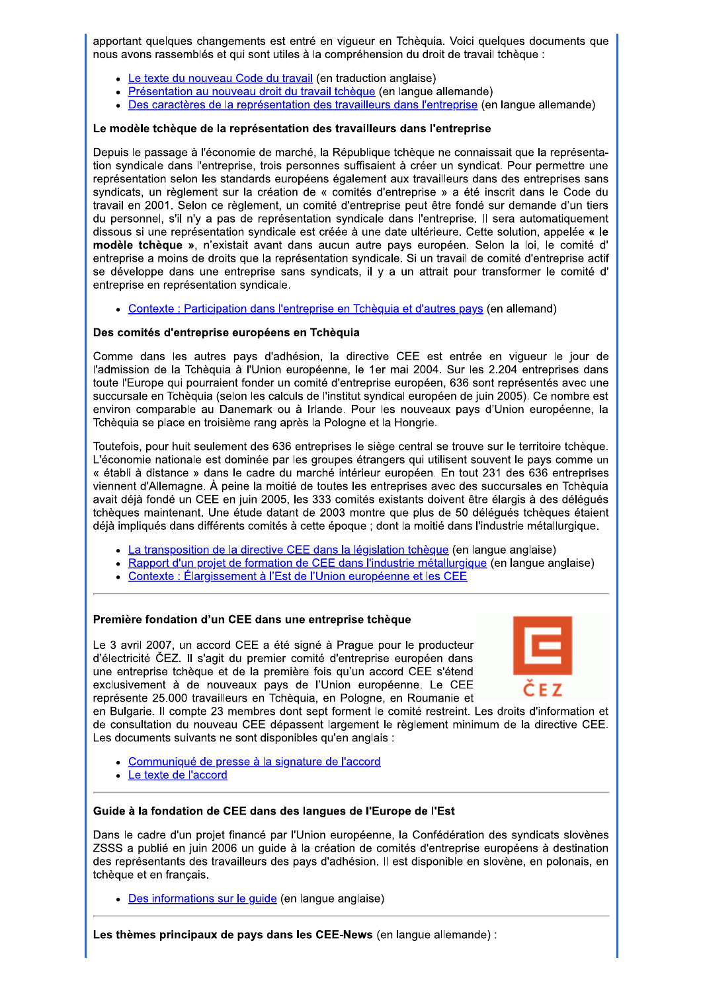apportant quelques changements est entré en vigueur en Tchèquia. Voici quelques documents que nous avons rassemblés et qui sont utiles à la compréhension du droit de travail tchèque :

- Le texte du nouveau Code du travail (en traduction anglaise)
- Présentation au nouveau droit du travail tchèque (en langue allemande)
- Des caractères de la représentation des travailleurs dans l'entreprise (en langue allemande)

## Le modèle tchèque de la représentation des travailleurs dans l'entreprise

Depuis le passage à l'économie de marché, la République tchèque ne connaissait que la représentation syndicale dans l'entreprise, trois personnes suffisaient à créer un syndicat. Pour permettre une représentation selon les standards européens également aux travailleurs dans des entreprises sans syndicats, un règlement sur la création de « comités d'entreprise » a été inscrit dans le Code du travail en 2001. Selon ce règlement, un comité d'entreprise peut être fondé sur demande d'un tiers du personnel, s'il n'y a pas de représentation syndicale dans l'entreprise. Il sera automatiquement dissous si une représentation syndicale est créée à une date ultérieure. Cette solution, appelée « le modèle tchèque », n'existait avant dans aucun autre pays européen. Selon la loi, le comité d' entreprise a moins de droits que la représentation syndicale. Si un travail de comité d'entreprise actif se développe dans une entreprise sans syndicats, il y a un attrait pour transformer le comité d' entreprise en représentation syndicale.

• Contexte : Participation dans l'entreprise en Tchèquia et d'autres pays (en allemand)

## Des comités d'entreprise européens en Tchèquia

Comme dans les autres pays d'adhésion, la directive CEE est entrée en viqueur le jour de l'admission de la Tchèquia à l'Union européenne, le 1er mai 2004. Sur les 2.204 entreprises dans toute l'Europe qui pourraient fonder un comité d'entreprise européen, 636 sont représentés avec une succursale en Tchèquia (selon les calculs de l'institut syndical européen de juin 2005). Ce nombre est environ comparable au Danemark ou à Irlande. Pour les nouveaux pays d'Union européenne, la Tchèquia se place en troisième rang après la Pologne et la Hongrie.

Toutefois, pour huit seulement des 636 entreprises le siège central se trouve sur le territoire tchèque. L'économie nationale est dominée par les groupes étrangers qui utilisent souvent le pays comme un « établi à distance » dans le cadre du marché intérieur européen. En tout 231 des 636 entreprises viennent d'Allemagne. À peine la moitié de toutes les entreprises avec des succursales en Tchèquia avait déjà fondé un CEE en juin 2005, les 333 comités existants doivent être élargis à des déléqués tchèques maintenant. Une étude datant de 2003 montre que plus de 50 déléqués tchèques étaient déjà impliqués dans différents comités à cette époque ; dont la moitié dans l'industrie métallurgique.

- La transposition de la directive CEE dans la législation tchèque (en langue anglaise)
- · Rapport d'un projet de formation de CEE dans l'industrie métallurgique (en langue anglaise)
- Contexte : Élargissement à l'Est de l'Union européenne et les CEE

## Première fondation d'un CEE dans une entreprise tchèque

Le 3 avril 2007, un accord CEE a été signé à Prague pour le producteur d'électricité ČEZ. Il s'agit du premier comité d'entreprise européen dans une entreprise tchèque et de la première fois qu'un accord CEE s'étend exclusivement à de nouveaux pays de l'Union européenne. Le CEE représente 25.000 travailleurs en Tchèquia, en Pologne, en Roumanie et



en Bulgarie. Il compte 23 membres dont sept forment le comité restreint. Les droits d'information et de consultation du nouveau CEE dépassent largement le règlement minimum de la directive CEE. Les documents suivants ne sont disponibles qu'en anglais :

- Communiqué de presse à la signature de l'accord
- Le texte de l'accord

## Guide à la fondation de CEE dans des langues de l'Europe de l'Est

Dans le cadre d'un projet financé par l'Union européenne, la Confédération des syndicats slovènes ZSSS a publié en juin 2006 un guide à la création de comités d'entreprise européens à destination des représentants des travailleurs des pays d'adhésion. Il est disponible en slovène, en polonais, en tchèque et en français.

• Des informations sur le quide (en langue anglaise)

Les thèmes principaux de pays dans les CEE-News (en langue allemande) :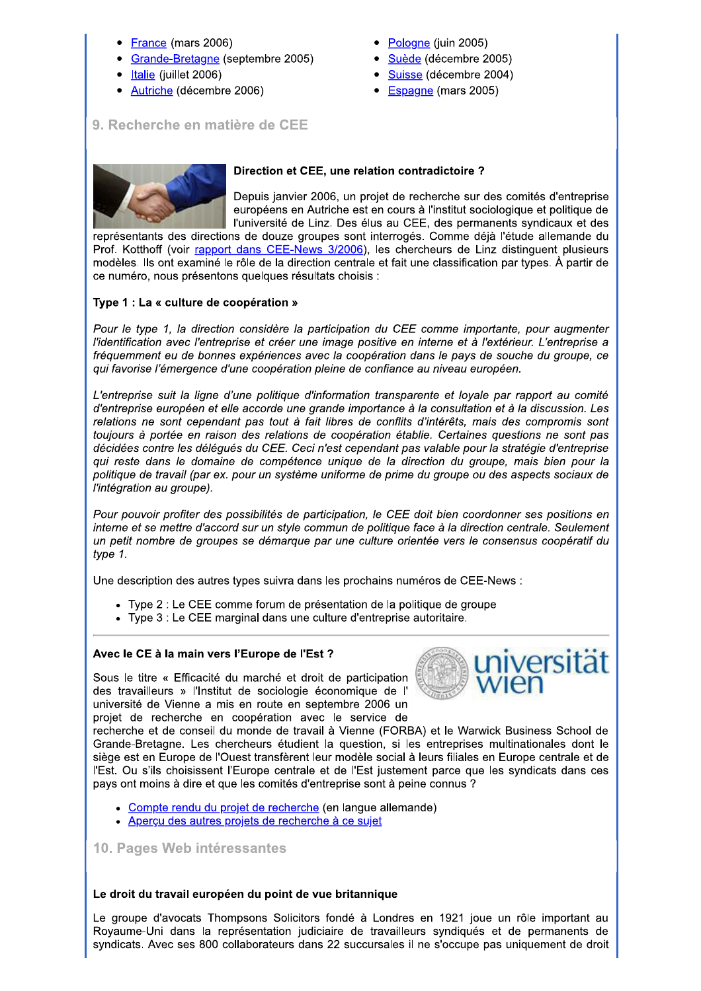- France (mars 2006)
- Grande-Bretagne (septembre 2005)
- Italie (juillet 2006)
- Autriche (décembre 2006)
- Pologne (juin 2005)
- Suède (décembre 2005)
- Suisse (décembre 2004)
- Espagne (mars 2005)

# 9. Recherche en matière de CEE



# Direction et CEE, une relation contradictoire ?

Depuis janvier 2006, un projet de recherche sur des comités d'entreprise européens en Autriche est en cours à l'institut sociologique et politique de l'université de Linz. Des élus au CEE, des permanents syndicaux et des

représentants des directions de douze groupes sont interrogés. Comme déjà l'étude allemande du Prof. Kotthoff (voir rapport dans CEE-News 3/2006), les chercheurs de Linz distinguent plusieurs modèles. Ils ont examiné le rôle de la direction centrale et fait une classification par types. À partir de ce numéro, nous présentons quelques résultats choisis :

# Type 1 : La « culture de coopération »

Pour le type 1, la direction considère la participation du CEE comme importante, pour augmenter l'identification avec l'entreprise et créer une image positive en interne et à l'extérieur. L'entreprise a fréquemment eu de bonnes expériences avec la coopération dans le pays de souche du groupe, ce qui favorise l'émergence d'une coopération pleine de confiance au niveau européen.

L'entreprise suit la ligne d'une politique d'information transparente et loyale par rapport au comité d'entreprise européen et elle accorde une grande importance à la consultation et à la discussion. Les relations ne sont cependant pas tout à fait libres de conflits d'intérêts, mais des compromis sont toujours à portée en raison des relations de coopération établie. Certaines questions ne sont pas décidées contre les délégués du CEE. Ceci n'est cependant pas valable pour la stratégie d'entreprise qui reste dans le domaine de compétence unique de la direction du groupe, mais bien pour la politique de travail (par ex. pour un système uniforme de prime du groupe ou des aspects sociaux de l'intégration au groupe).

Pour pouvoir profiter des possibilités de participation, le CEE doit bien coordonner ses positions en interne et se mettre d'accord sur un style commun de politique face à la direction centrale. Seulement un petit nombre de groupes se démarque par une culture orientée vers le consensus coopératif du type 1.

Une description des autres types suivra dans les prochains numéros de CEE-News :

- Type 2 : Le CEE comme forum de présentation de la politique de groupe
- Type 3 : Le CEE marginal dans une culture d'entreprise autoritaire.

# Avec le CE à la main vers l'Europe de l'Est ?

Sous le titre « Efficacité du marché et droit de participation des travailleurs » l'Institut de sociologie économique de l' université de Vienne a mis en route en septembre 2006 un projet de recherche en coopération avec le service de



recherche et de conseil du monde de travail à Vienne (FORBA) et le Warwick Business School de Grande-Bretagne. Les chercheurs étudient la question, si les entreprises multinationales dont le siège est en Europe de l'Ouest transfèrent leur modèle social à leurs filiales en Europe centrale et de l'Est. Ou s'ils choisissent l'Europe centrale et de l'Est justement parce que les syndicats dans ces pays ont moins à dire et que les comités d'entreprise sont à peine connus ?

- Compte rendu du projet de recherche (en langue allemande)
- Aperçu des autres projets de recherche à ce sujet

10. Pages Web intéressantes

## Le droit du travail européen du point de vue britannique

Le groupe d'avocats Thompsons Solicitors fondé à Londres en 1921 joue un rôle important au Royaume-Uni dans la représentation judiciaire de travailleurs syndiqués et de permanents de syndicats. Avec ses 800 collaborateurs dans 22 succursales il ne s'occupe pas uniquement de droit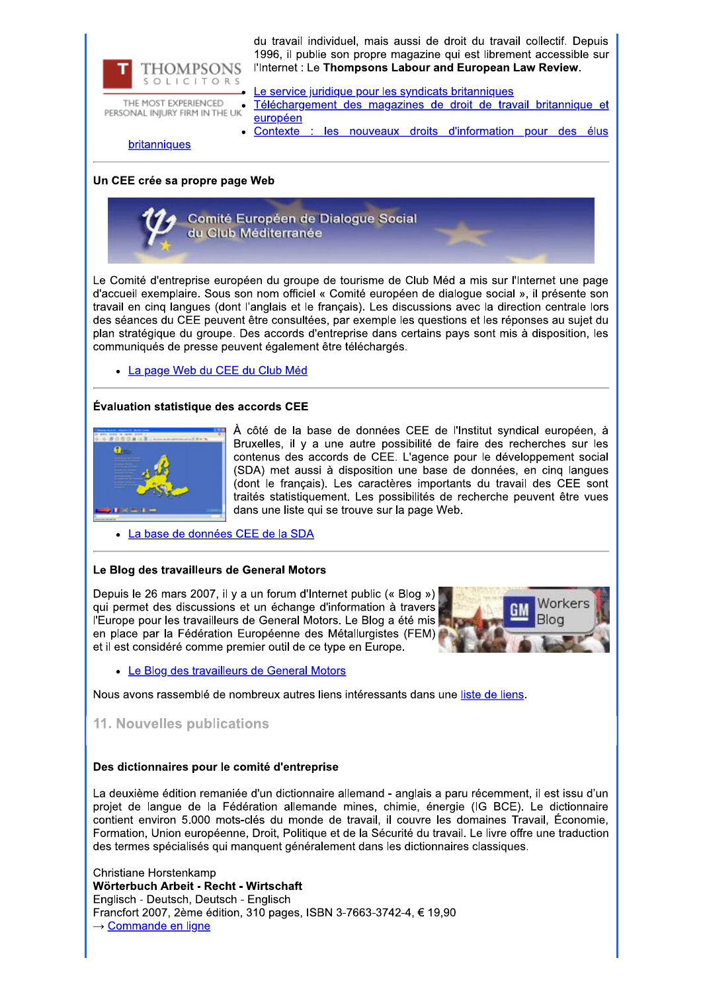

THE MOST EXPERIENCED PERSONAL INJURY FIRM IN THE UK

du travail individuel, mais aussi de droit du travail collectif. Depuis 1996, il publie son propre magazine qui est librement accessible sur l'Internet : Le Thompsons Labour and European Law Review.

Le service juridique pour les syndicats britanniques Téléchargement des magazines de droit de travail britannique et européen

Contexte les nouveaux droits d'information pour des élus

britanniques

## Un CEE crée sa propre page Web



Le Comité d'entreprise européen du groupe de tourisme de Club Méd a mis sur l'Internet une page d'accueil exemplaire. Sous son nom officiel « Comité européen de dialoque social », il présente son travail en cinq langues (dont l'anglais et le français). Les discussions avec la direction centrale lors des séances du CEE peuvent être consultées, par exemple les questions et les réponses au sujet du plan stratégique du groupe. Des accords d'entreprise dans certains pays sont mis à disposition, les communiqués de presse peuvent également être téléchargés.

• La page Web du CEE du Club Méd

## Évaluation statistique des accords CEE



À côté de la base de données CEE de l'Institut syndical européen, à Bruxelles, il y a une autre possibilité de faire des recherches sur les contenus des accords de CEE. L'agence pour le développement social (SDA) met aussi à disposition une base de données, en cinq langues (dont le français). Les caractères importants du travail des CEE sont traités statistiquement. Les possibilités de recherche peuvent être vues dans une liste qui se trouve sur la page Web.

· La base de données CEE de la SDA

## Le Blog des travailleurs de General Motors

Depuis le 26 mars 2007, il y a un forum d'Internet public (« Blog ») qui permet des discussions et un échange d'information à travers l'Europe pour les travailleurs de General Motors. Le Blog a été mis en place par la Fédération Européenne des Métallurgistes (FEM) et il est considéré comme premier outil de ce type en Europe.



• Le Blog des travailleurs de General Motors

Nous avons rassemblé de nombreux autres liens intéressants dans une liste de liens.

## 11. Nouvelles publications

## Des dictionnaires pour le comité d'entreprise

La deuxième édition remaniée d'un dictionnaire allemand - anglais a paru récemment, il est issu d'un projet de langue de la Fédération allemande mines, chimie, énergie (IG BCE). Le dictionnaire contient environ 5.000 mots-clés du monde de travail, il couvre les domaines Travail, Économie, Formation, Union européenne, Droit, Politique et de la Sécurité du travail. Le livre offre une traduction des termes spécialisés qui manquent généralement dans les dictionnaires classiques.

Christiane Horstenkamp Wörterbuch Arbeit - Recht - Wirtschaft Englisch - Deutsch, Deutsch - Englisch Francfort 2007, 2ème édition, 310 pages, ISBN 3-7663-3742-4, € 19,90 → Commande en ligne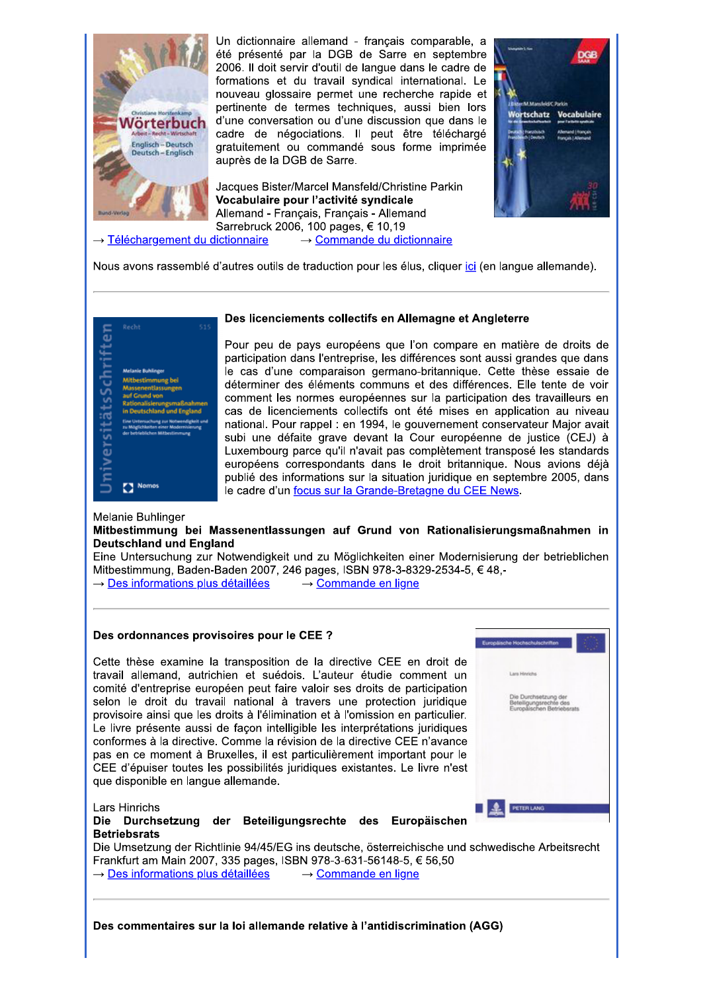

Un dictionnaire allemand - français comparable, a été présenté par la DGB de Sarre en septembre 2006. Il doit servir d'outil de langue dans le cadre de formations et du travail syndical international. Le nouveau glossaire permet une recherche rapide et pertinente de termes techniques, aussi bien lors d'une conversation ou d'une discussion que dans le cadre de négociations. Il peut être téléchargé gratuitement ou commandé sous forme imprimée auprès de la DGB de Sarre.

Jacques Bister/Marcel Mansfeld/Christine Parkin Vocabulaire pour l'activité syndicale Allemand - Français, Français - Allemand Sarrebruck 2006, 100 pages, € 10,19  $\rightarrow$  Téléchargement du dictionnaire  $\rightarrow$  Commande du dictionnaire



Nous avons rassemblé d'autres outils de traduction pour les élus, cliquer ici (en langue allemande).



## Des licenciements collectifs en Allemagne et Angleterre

Pour peu de pays européens que l'on compare en matière de droits de participation dans l'entreprise, les différences sont aussi grandes que dans le cas d'une comparaison germano-britannique. Cette thèse essaie de déterminer des éléments communs et des différences. Elle tente de voir comment les normes européennes sur la participation des travailleurs en cas de licenciements collectifs ont été mises en application au niveau national. Pour rappel : en 1994, le gouvernement conservateur Major avait subi une défaite grave devant la Cour européenne de justice (CEJ) à Luxembourg parce qu'il n'avait pas complètement transposé les standards européens correspondants dans le droit britannique. Nous avions déjà publié des informations sur la situation juridique en septembre 2005, dans le cadre d'un focus sur la Grande-Bretagne du CEE News.

#### Melanie Buhlinger

Lars Hinrichs

#### Mitbestimmung bei Massenentlassungen auf Grund von Rationalisierungsmaßnahmen in **Deutschland und England**

Eine Untersuchung zur Notwendigkeit und zu Möglichkeiten einer Modernisierung der betrieblichen Mitbestimmung, Baden-Baden 2007, 246 pages, ISBN 978-3-8329-2534-5, €48,-

→ Des informations plus détaillées  $\rightarrow$  Commande en ligne

#### Des ordonnances provisoires pour le CEE ?

Cette thèse examine la transposition de la directive CEE en droit de travail allemand, autrichien et suédois. L'auteur étudie comment un comité d'entreprise européen peut faire valoir ses droits de participation selon le droit du travail national à travers une protection juridique provisoire ainsi que les droits à l'élimination et à l'omission en particulier. Le livre présente aussi de façon intelligible les interprétations juridiques conformes à la directive. Comme la révision de la directive CEE n'avance pas en ce moment à Bruxelles, il est particulièrement important pour le CEE d'épuiser toutes les possibilités juridiques existantes. Le livre n'est que disponible en langue allemande.

| Europäische Hochschulschriften                                              |
|-----------------------------------------------------------------------------|
| Lara Hinrichs                                                               |
| Die Durchsetzung der<br>Beteiligungsrechte des<br>Europäischen Betriebsrats |
|                                                                             |
| <b>PETER LANG</b>                                                           |

Die Durchsetzung der Beteiligungsrechte des Europäischen **Betriebsrats** 

Die Umsetzung der Richtlinie 94/45/EG ins deutsche, österreichische und schwedische Arbeitsrecht Frankfurt am Main 2007, 335 pages, ISBN 978-3-631-56148-5, € 56,50  $\rightarrow$  Des informations plus détaillées  $\rightarrow$  Commande en ligne

Des commentaires sur la loi allemande relative à l'antidiscrimination (AGG)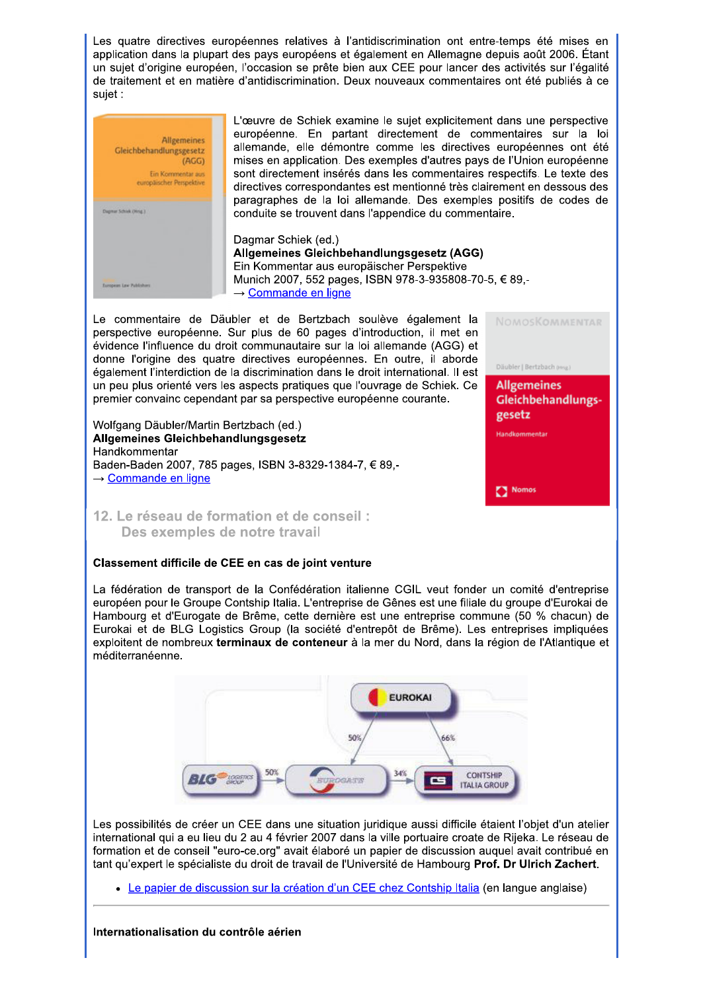Les quatre directives européennes relatives à l'antidiscrimination ont entre-temps été mises en application dans la plupart des pays européens et également en Allemagne depuis août 2006. Étant un sujet d'origine européen, l'occasion se prête bien aux CEE pour lancer des activités sur l'égalité de traitement et en matière d'antidiscrimination. Deux nouveaux commentaires ont été publiés à ce sujet :



L'œuvre de Schiek examine le sujet explicitement dans une perspective européenne. En partant directement de commentaires sur la loi allemande, elle démontre comme les directives européennes ont été mises en application. Des exemples d'autres pays de l'Union européenne sont directement insérés dans les commentaires respectifs. Le texte des directives correspondantes est mentionné très clairement en dessous des paragraphes de la loi allemande. Des exemples positifs de codes de conduite se trouvent dans l'appendice du commentaire.

Dagmar Schiek (ed.) Allgemeines Gleichbehandlungsgesetz (AGG) Ein Kommentar aus europäischer Perspektive Munich 2007, 552 pages, ISBN 978-3-935808-70-5, € 89,- $\rightarrow$  Commande en ligne

Le commentaire de Däubler et de Bertzbach soulève également la perspective européenne. Sur plus de 60 pages d'introduction, il met en évidence l'influence du droit communautaire sur la loi allemande (AGG) et donne l'origine des quatre directives européennes. En outre, il aborde également l'interdiction de la discrimination dans le droit international. Il est un peu plus orienté vers les aspects pratiques que l'ouvrage de Schiek. Ce premier convainc cependant par sa perspective européenne courante.

Wolfgang Däubler/Martin Bertzbach (ed.) Allgemeines Gleichbehandlungsgesetz Handkommentar Baden-Baden 2007, 785 pages, ISBN 3-8329-1384-7, €89,- $\rightarrow$  Commande en ligne



NOMOSKOMMENTAR

# 12. Le réseau de formation et de conseil : Des exemples de notre travail

## Classement difficile de CEE en cas de joint venture

La fédération de transport de la Confédération italienne CGIL veut fonder un comité d'entreprise européen pour le Groupe Contship Italia. L'entreprise de Gênes est une filiale du groupe d'Eurokai de Hambourg et d'Eurogate de Brême, cette dernière est une entreprise commune (50 % chacun) de Eurokai et de BLG Logistics Group (la société d'entrepôt de Brême). Les entreprises impliquées exploitent de nombreux terminaux de conteneur à la mer du Nord, dans la région de l'Atlantique et méditerranéenne.



Les possibilités de créer un CEE dans une situation juridique aussi difficile étaient l'objet d'un atelier international qui a eu lieu du 2 au 4 février 2007 dans la ville portuaire croate de Rijeka. Le réseau de formation et de conseil "euro-ce.org" avait élaboré un papier de discussion auquel avait contribué en tant qu'expert le spécialiste du droit de travail de l'Université de Hambourg Prof. Dr Ulrich Zachert.

• Le papier de discussion sur la création d'un CEE chez Contship Italia (en langue anglaise)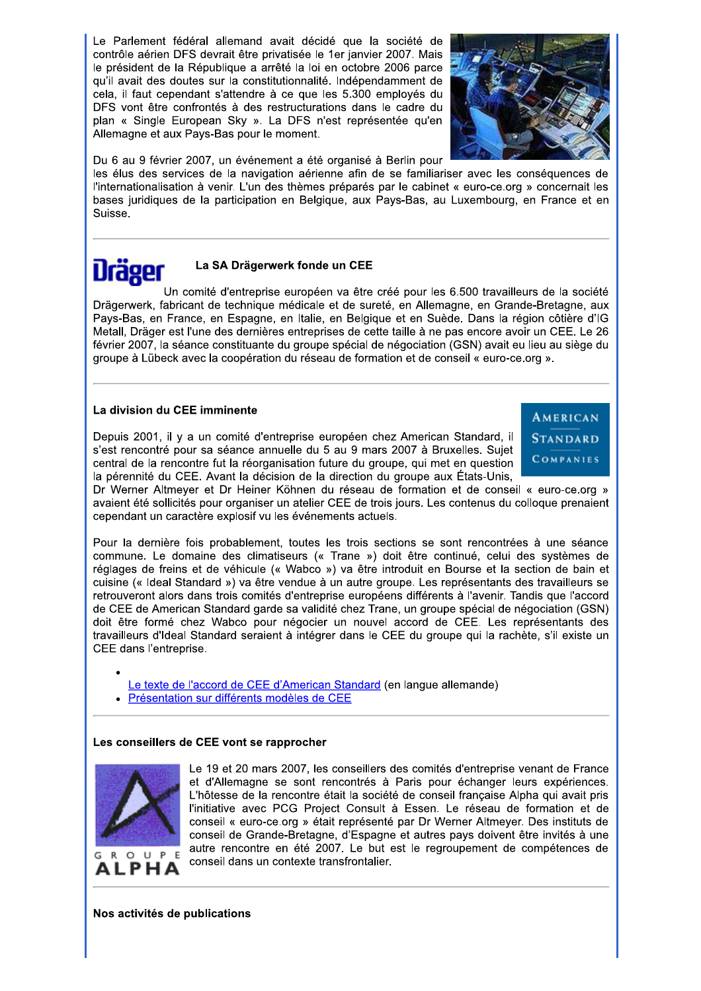Le Parlement fédéral allemand avait décidé que la société de contrôle aérien DFS devrait être privatisée le 1er janvier 2007. Mais le président de la République a arrêté la loi en octobre 2006 parce qu'il avait des doutes sur la constitutionnalité. Indépendamment de cela, il faut cependant s'attendre à ce que les 5.300 employés du DFS vont être confrontés à des restructurations dans le cadre du plan « Single European Sky ». La DFS n'est représentée qu'en Allemagne et aux Pays-Bas pour le moment.



Du 6 au 9 février 2007, un événement a été organisé à Berlin pour

les élus des services de la navigation aérienne afin de se familiariser avec les conséquences de l'internationalisation à venir. L'un des thèmes préparés par le cabinet « euro-ce.org » concernait les bases juridiques de la participation en Belgique, aux Pays-Bas, au Luxembourg, en France et en Suisse.

# Dräger

# La SA Drägerwerk fonde un CEE

Un comité d'entreprise européen va être créé pour les 6.500 travailleurs de la société Drägerwerk, fabricant de technique médicale et de sureté, en Allemagne, en Grande-Bretagne, aux Pays-Bas, en France, en Espagne, en Italie, en Belgique et en Suède. Dans la région côtière d'IG Metall, Dräger est l'une des dernières entreprises de cette taille à ne pas encore avoir un CEE. Le 26 février 2007, la séance constituante du groupe spécial de négociation (GSN) avait eu lieu au siège du groupe à Lübeck avec la coopération du réseau de formation et de conseil « euro-ce.org ».

## La division du CEE imminente

Depuis 2001, il y a un comité d'entreprise européen chez American Standard, il s'est rencontré pour sa séance annuelle du 5 au 9 mars 2007 à Bruxelles. Sujet central de la rencontre fut la réorganisation future du groupe, qui met en question la pérennité du CEE. Avant la décision de la direction du groupe aux États-Unis,



Dr Werner Altmeyer et Dr Heiner Köhnen du réseau de formation et de conseil « euro-ce.org » avaient été sollicités pour organiser un atelier CEE de trois jours. Les contenus du colloque prenaient cependant un caractère explosif vu les événements actuels.

Pour la dernière fois probablement, toutes les trois sections se sont rencontrées à une séance commune. Le domaine des climatiseurs (« Trane ») doit être continué, celui des systèmes de réglages de freins et de véhicule (« Wabco ») va être introduit en Bourse et la section de bain et cuisine (« Ideal Standard ») va être vendue à un autre groupe. Les représentants des travailleurs se retrouveront alors dans trois comités d'entreprise européens différents à l'avenir. Tandis que l'accord de CEE de American Standard garde sa validité chez Trane, un groupe spécial de négociation (GSN) doit être formé chez Wabco pour négocier un nouvel accord de CEE. Les représentants des travailleurs d'Ideal Standard seraient à intégrer dans le CEE du groupe qui la rachète, s'il existe un CEE dans l'entreprise.

- Le texte de l'accord de CEE d'American Standard (en langue allemande)
- Présentation sur différents modèles de CEE

## Les conseillers de CEE vont se rapprocher



Le 19 et 20 mars 2007, les conseillers des comités d'entreprise venant de France et d'Allemagne se sont rencontrés à Paris pour échanger leurs expériences. L'hôtesse de la rencontre était la société de conseil française Alpha qui avait pris l'initiative avec PCG Project Consult à Essen. Le réseau de formation et de conseil « euro-ce.org » était représenté par Dr Werner Altmeyer. Des instituts de conseil de Grande-Bretagne, d'Espagne et autres pays doivent être invités à une autre rencontre en été 2007. Le but est le regroupement de compétences de conseil dans un contexte transfrontalier.

Nos activités de publications